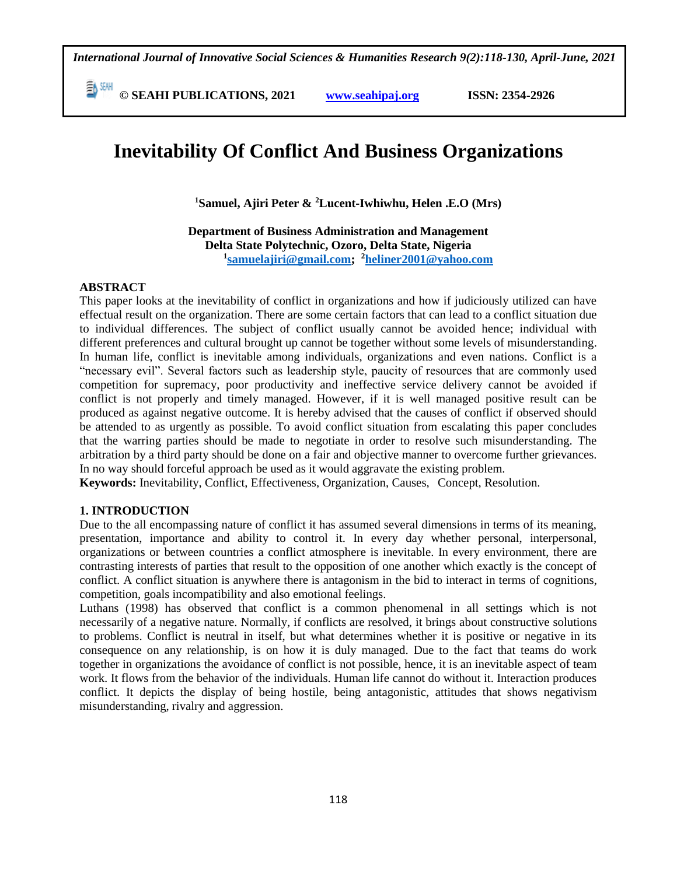*International Journal of Innovative Social Sciences & Humanities Research 9(2):118-130, April-June, 2021*

 **© SEAHI PUBLICATIONS, 2021 [www.seahipaj.org](http://www.seahipaj.org/) ISSN: 2354-2926** 

# **Inevitability Of Conflict And Business Organizations**

**<sup>1</sup>Samuel, Ajiri Peter & <sup>2</sup>Lucent-Iwhiwhu, Helen .E.O (Mrs)**

**Department of Business Administration and Management Delta State Polytechnic, Ozoro, Delta State, Nigeria 1 [samuelajiri@gmail.com;](mailto:samuelajiri@gmail.com) <sup>2</sup>[heliner2001@yahoo.com](mailto:heliner2001@yahoo.com)**

#### **ABSTRACT**

This paper looks at the inevitability of conflict in organizations and how if judiciously utilized can have effectual result on the organization. There are some certain factors that can lead to a conflict situation due to individual differences. The subject of conflict usually cannot be avoided hence; individual with different preferences and cultural brought up cannot be together without some levels of misunderstanding. In human life, conflict is inevitable among individuals, organizations and even nations. Conflict is a "necessary evil". Several factors such as leadership style, paucity of resources that are commonly used competition for supremacy, poor productivity and ineffective service delivery cannot be avoided if conflict is not properly and timely managed. However, if it is well managed positive result can be produced as against negative outcome. It is hereby advised that the causes of conflict if observed should be attended to as urgently as possible. To avoid conflict situation from escalating this paper concludes that the warring parties should be made to negotiate in order to resolve such misunderstanding. The arbitration by a third party should be done on a fair and objective manner to overcome further grievances. In no way should forceful approach be used as it would aggravate the existing problem.

**Keywords:** Inevitability, Conflict, Effectiveness, Organization, Causes, Concept, Resolution.

#### **1. INTRODUCTION**

Due to the all encompassing nature of conflict it has assumed several dimensions in terms of its meaning, presentation, importance and ability to control it. In every day whether personal, interpersonal, organizations or between countries a conflict atmosphere is inevitable. In every environment, there are contrasting interests of parties that result to the opposition of one another which exactly is the concept of conflict. A conflict situation is anywhere there is antagonism in the bid to interact in terms of cognitions, competition, goals incompatibility and also emotional feelings.

Luthans (1998) has observed that conflict is a common phenomenal in all settings which is not necessarily of a negative nature. Normally, if conflicts are resolved, it brings about constructive solutions to problems. Conflict is neutral in itself, but what determines whether it is positive or negative in its consequence on any relationship, is on how it is duly managed. Due to the fact that teams do work together in organizations the avoidance of conflict is not possible, hence, it is an inevitable aspect of team work. It flows from the behavior of the individuals. Human life cannot do without it. Interaction produces conflict. It depicts the display of being hostile, being antagonistic, attitudes that shows negativism misunderstanding, rivalry and aggression.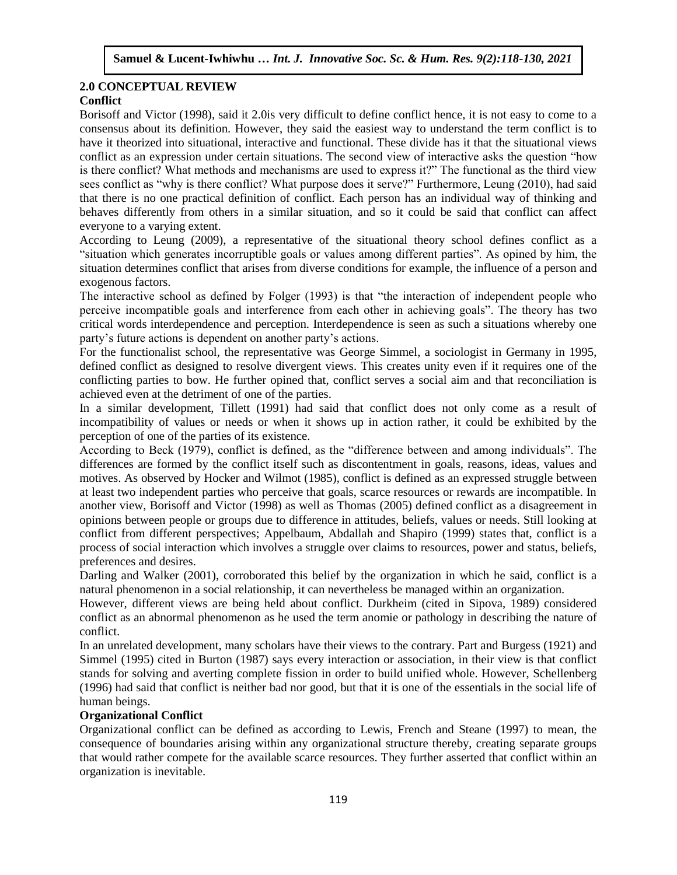#### **2.0 CONCEPTUAL REVIEW Conflict** Arugu & Wosu …… Int. J. Innovative Soc. Sc. & Hum. Res. 8(1):1-11, 2020

Borisoff and Victor (1998), said it 2.0is very difficult to define conflict hence, it is not easy to come to a consensus about its definition. However, they said the easiest way to understand the term conflict is to have it theorized into situational, interactive and functional. These divide has it that the situational views conflict as an expression under certain situations. The second view of interactive asks the question "how is there conflict? What methods and mechanisms are used to express it?" The functional as the third view sees conflict as "why is there conflict? What purpose does it serve?" Furthermore, Leung (2010), had said that there is no one practical definition of conflict. Each person has an individual way of thinking and behaves differently from others in a similar situation, and so it could be said that conflict can affect everyone to a varying extent.

According to Leung (2009), a representative of the situational theory school defines conflict as a "situation which generates incorruptible goals or values among different parties". As opined by him, the situation determines conflict that arises from diverse conditions for example, the influence of a person and exogenous factors.

The interactive school as defined by Folger (1993) is that "the interaction of independent people who perceive incompatible goals and interference from each other in achieving goals". The theory has two critical words interdependence and perception. Interdependence is seen as such a situations whereby one party's future actions is dependent on another party's actions.

For the functionalist school, the representative was George Simmel, a sociologist in Germany in 1995, defined conflict as designed to resolve divergent views. This creates unity even if it requires one of the conflicting parties to bow. He further opined that, conflict serves a social aim and that reconciliation is achieved even at the detriment of one of the parties.

In a similar development, Tillett (1991) had said that conflict does not only come as a result of incompatibility of values or needs or when it shows up in action rather, it could be exhibited by the perception of one of the parties of its existence.

According to Beck (1979), conflict is defined, as the "difference between and among individuals". The differences are formed by the conflict itself such as discontentment in goals, reasons, ideas, values and motives. As observed by Hocker and Wilmot (1985), conflict is defined as an expressed struggle between at least two independent parties who perceive that goals, scarce resources or rewards are incompatible. In another view, Borisoff and Victor (1998) as well as Thomas (2005) defined conflict as a disagreement in opinions between people or groups due to difference in attitudes, beliefs, values or needs. Still looking at conflict from different perspectives; Appelbaum, Abdallah and Shapiro (1999) states that, conflict is a process of social interaction which involves a struggle over claims to resources, power and status, beliefs, preferences and desires.

Darling and Walker (2001), corroborated this belief by the organization in which he said, conflict is a natural phenomenon in a social relationship, it can nevertheless be managed within an organization.

However, different views are being held about conflict. Durkheim (cited in Sipova, 1989) considered conflict as an abnormal phenomenon as he used the term anomie or pathology in describing the nature of conflict.

In an unrelated development, many scholars have their views to the contrary. Part and Burgess (1921) and Simmel (1995) cited in Burton (1987) says every interaction or association, in their view is that conflict stands for solving and averting complete fission in order to build unified whole. However, Schellenberg (1996) had said that conflict is neither bad nor good, but that it is one of the essentials in the social life of human beings.

#### **Organizational Conflict**

Organizational conflict can be defined as according to Lewis, French and Steane (1997) to mean, the consequence of boundaries arising within any organizational structure thereby, creating separate groups that would rather compete for the available scarce resources. They further asserted that conflict within an organization is inevitable.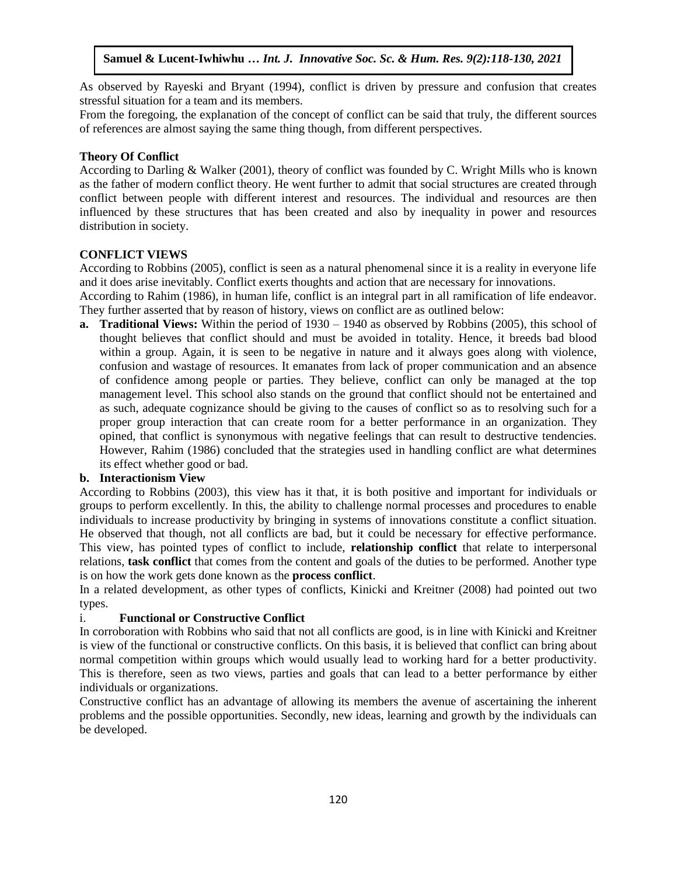As observed by Rayeski and Bryant (1994), conflict is driven by pressure and confusion that creates stressful situation for a team and its members.

From the foregoing, the explanation of the concept of conflict can be said that truly, the different sources of references are almost saying the same thing though, from different perspectives.

# **Theory Of Conflict**

According to Darling & Walker (2001), theory of conflict was founded by C. Wright Mills who is known as the father of modern conflict theory. He went further to admit that social structures are created through conflict between people with different interest and resources. The individual and resources are then influenced by these structures that has been created and also by inequality in power and resources distribution in society.

#### **CONFLICT VIEWS**

According to Robbins (2005), conflict is seen as a natural phenomenal since it is a reality in everyone life and it does arise inevitably. Conflict exerts thoughts and action that are necessary for innovations.

According to Rahim (1986), in human life, conflict is an integral part in all ramification of life endeavor. They further asserted that by reason of history, views on conflict are as outlined below:

**a. Traditional Views:** Within the period of 1930 – 1940 as observed by Robbins (2005), this school of thought believes that conflict should and must be avoided in totality. Hence, it breeds bad blood within a group. Again, it is seen to be negative in nature and it always goes along with violence, confusion and wastage of resources. It emanates from lack of proper communication and an absence of confidence among people or parties. They believe, conflict can only be managed at the top management level. This school also stands on the ground that conflict should not be entertained and as such, adequate cognizance should be giving to the causes of conflict so as to resolving such for a proper group interaction that can create room for a better performance in an organization. They opined, that conflict is synonymous with negative feelings that can result to destructive tendencies. However, Rahim (1986) concluded that the strategies used in handling conflict are what determines its effect whether good or bad.

#### **b. Interactionism View**

According to Robbins (2003), this view has it that, it is both positive and important for individuals or groups to perform excellently. In this, the ability to challenge normal processes and procedures to enable individuals to increase productivity by bringing in systems of innovations constitute a conflict situation. He observed that though, not all conflicts are bad, but it could be necessary for effective performance. This view, has pointed types of conflict to include, **relationship conflict** that relate to interpersonal relations, **task conflict** that comes from the content and goals of the duties to be performed. Another type is on how the work gets done known as the **process conflict**.

In a related development, as other types of conflicts, Kinicki and Kreitner (2008) had pointed out two types.

#### i. **Functional or Constructive Conflict**

In corroboration with Robbins who said that not all conflicts are good, is in line with Kinicki and Kreitner is view of the functional or constructive conflicts. On this basis, it is believed that conflict can bring about normal competition within groups which would usually lead to working hard for a better productivity. This is therefore, seen as two views, parties and goals that can lead to a better performance by either individuals or organizations.

Constructive conflict has an advantage of allowing its members the avenue of ascertaining the inherent problems and the possible opportunities. Secondly, new ideas, learning and growth by the individuals can be developed.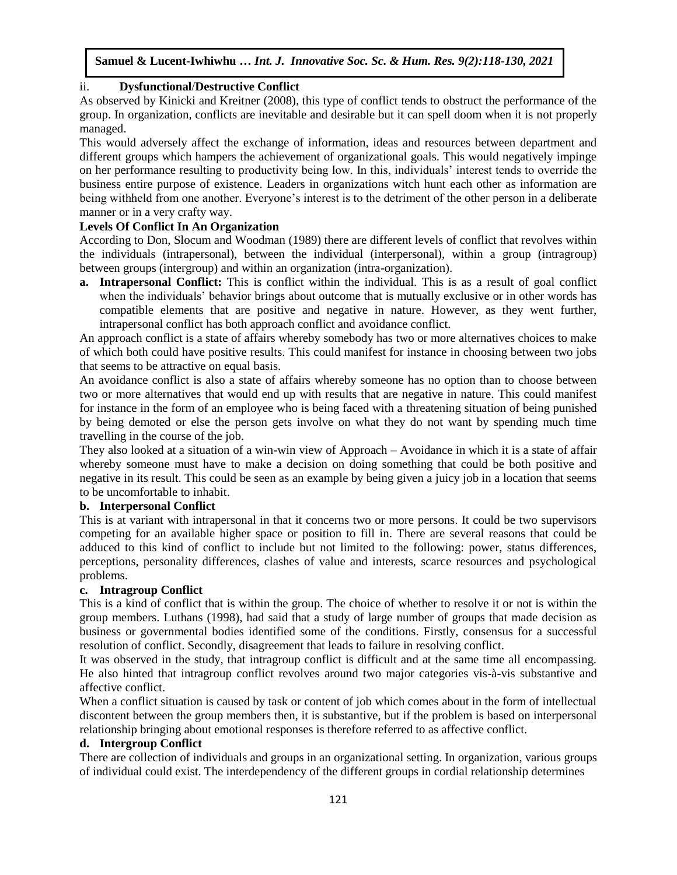#### ii. **Dysfunctional**/**Destructive Conflict**

As observed by Kinicki and Kreitner (2008), this type of conflict tends to obstruct the performance of the group. In organization, conflicts are inevitable and desirable but it can spell doom when it is not properly managed.

This would adversely affect the exchange of information, ideas and resources between department and different groups which hampers the achievement of organizational goals. This would negatively impinge on her performance resulting to productivity being low. In this, individuals' interest tends to override the business entire purpose of existence. Leaders in organizations witch hunt each other as information are being withheld from one another. Everyone's interest is to the detriment of the other person in a deliberate manner or in a very crafty way.

#### **Levels Of Conflict In An Organization**

According to Don, Slocum and Woodman (1989) there are different levels of conflict that revolves within the individuals (intrapersonal), between the individual (interpersonal), within a group (intragroup) between groups (intergroup) and within an organization (intra-organization).

**a. Intrapersonal Conflict:** This is conflict within the individual. This is as a result of goal conflict when the individuals' behavior brings about outcome that is mutually exclusive or in other words has compatible elements that are positive and negative in nature. However, as they went further, intrapersonal conflict has both approach conflict and avoidance conflict.

An approach conflict is a state of affairs whereby somebody has two or more alternatives choices to make of which both could have positive results. This could manifest for instance in choosing between two jobs that seems to be attractive on equal basis.

An avoidance conflict is also a state of affairs whereby someone has no option than to choose between two or more alternatives that would end up with results that are negative in nature. This could manifest for instance in the form of an employee who is being faced with a threatening situation of being punished by being demoted or else the person gets involve on what they do not want by spending much time travelling in the course of the job.

travening in the course of the joo.<br>They also looked at a situation of a win-win view of Approach – Avoidance in which it is a state of affair whereby someone must have to make a decision on doing something that could be both positive and negative in its result. This could be seen as an example by being given a juicy job in a location that seems to be uncomfortable to inhabit.

#### **b. Interpersonal Conflict**

This is at variant with intrapersonal in that it concerns two or more persons. It could be two supervisors competing for an available higher space or position to fill in. There are several reasons that could be adduced to this kind of conflict to include but not limited to the following: power, status differences, perceptions, personality differences, clashes of value and interests, scarce resources and psychological problems.

#### **c. Intragroup Conflict**

This is a kind of conflict that is within the group. The choice of whether to resolve it or not is within the group members. Luthans (1998), had said that a study of large number of groups that made decision as business or governmental bodies identified some of the conditions. Firstly, consensus for a successful resolution of conflict. Secondly, disagreement that leads to failure in resolving conflict.

It was observed in the study, that intragroup conflict is difficult and at the same time all encompassing. He also hinted that intragroup conflict revolves around two major categories vis-à-vis substantive and affective conflict.

When a conflict situation is caused by task or content of job which comes about in the form of intellectual discontent between the group members then, it is substantive, but if the problem is based on interpersonal relationship bringing about emotional responses is therefore referred to as affective conflict.

#### **d. Intergroup Conflict**

There are collection of individuals and groups in an organizational setting. In organization, various groups of individual could exist. The interdependency of the different groups in cordial relationship determines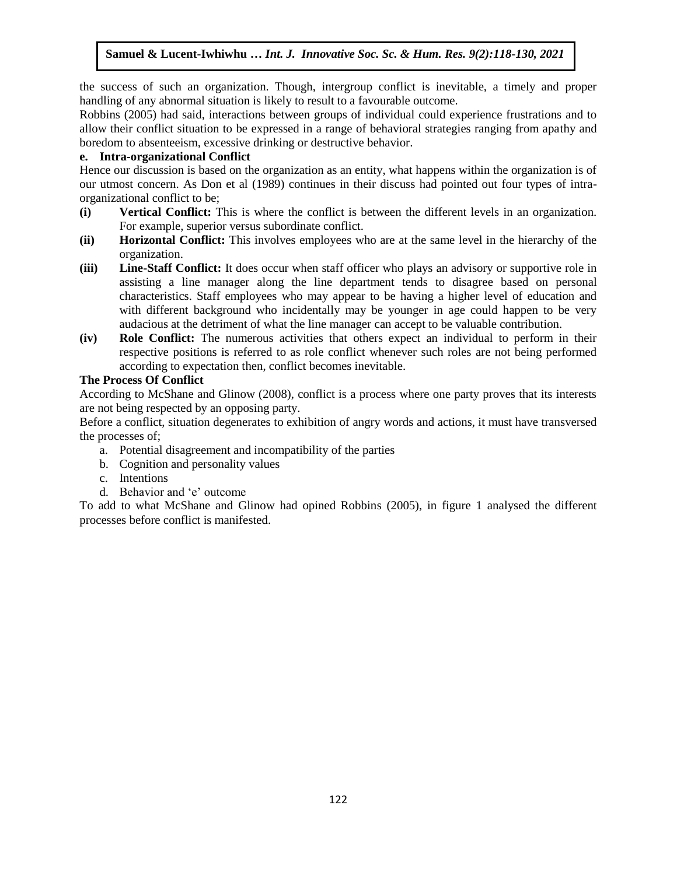the success of such an organization. Though, intergroup conflict is inevitable, a timely and proper handling of any abnormal situation is likely to result to a favourable outcome.

Robbins (2005) had said, interactions between groups of individual could experience frustrations and to allow their conflict situation to be expressed in a range of behavioral strategies ranging from apathy and boredom to absenteeism, excessive drinking or destructive behavior.

# **e.** Intra-organizational Conflict

Hence our discussion is based on the organization as an entity, what happens within the organization is of our utmost concern. As Don et al (1989) continues in their discuss had pointed out four types of intraorganizational conflict to be;

- (i) Vertical Conflict: This is where the conflict is between the different levels in an organization. For example, superior versus subordinate conflict.
- **(ii) Horizontal Conflict:** This involves employees who are at the same level in the hierarchy of the organization.
- (iii) Line-Staff Conflict: It does occur when staff officer who plays an advisory or supportive role in assisting a line manager along the line department tends to disagree based on personal characteristics. Staff employees who may appear to be having a higher level of education and with different background who incidentally may be younger in age could happen to be very audacious at the detriment of what the line manager can accept to be valuable contribution.
- **(iv) Role Conflict:** The numerous activities that others expect an individual to perform in their respective positions is referred to as role conflict whenever such roles are not being performed according to expectation then, conflict becomes inevitable.

# The Process Of Conflict

According to McShane and Glinow (2008), conflict is a process where one party proves that its interests are not being respected by an opposing party.

Before a conflict, situation degenerates to exhibition of angry words and actions, it must have transversed the processes of;

- a. Potential disagreement and incompatibility of the parties
- b. Cognition and personality values
- c. Intentions
- d. Behavior and 'e' outcome

To add to what McShane and Glinow had opined Robbins (2005), in figure 1 analysed the different processes before conflict is manifested.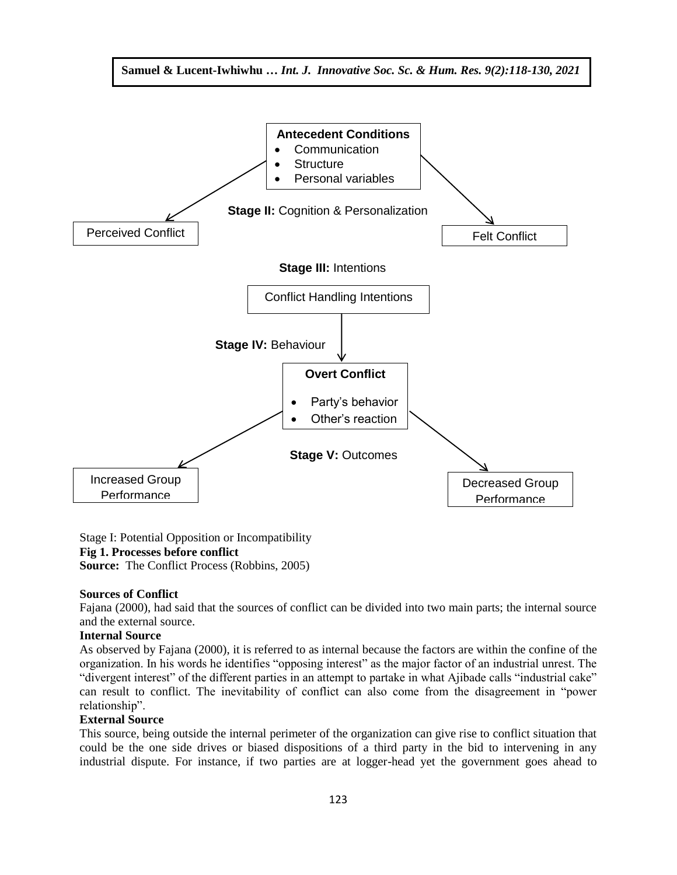

Stage I: Potential Opposition or Incompatibility **Fig 1. Processes before conflict Source:** The Conflict Process (Robbins, 2005)

#### **Sources of Conflict**

Fajana (2000), had said that the sources of conflict can be divided into two main parts; the internal source and the external source.

#### **Internal Source**

As observed by Fajana (2000), it is referred to as internal because the factors are within the confine of the organization. In his words he identifies "opposing interest" as the major factor of an industrial unrest. The "divergent interest" of the different parties in an attempt to partake in what Ajibade calls "industrial cake" can result to conflict. The inevitability of conflict can also come from the disagreement in "power relationship".

#### **External Source**

This source, being outside the internal perimeter of the organization can give rise to conflict situation that could be the one side drives or biased dispositions of a third party in the bid to intervening in any industrial dispute. For instance, if two parties are at logger-head yet the government goes ahead to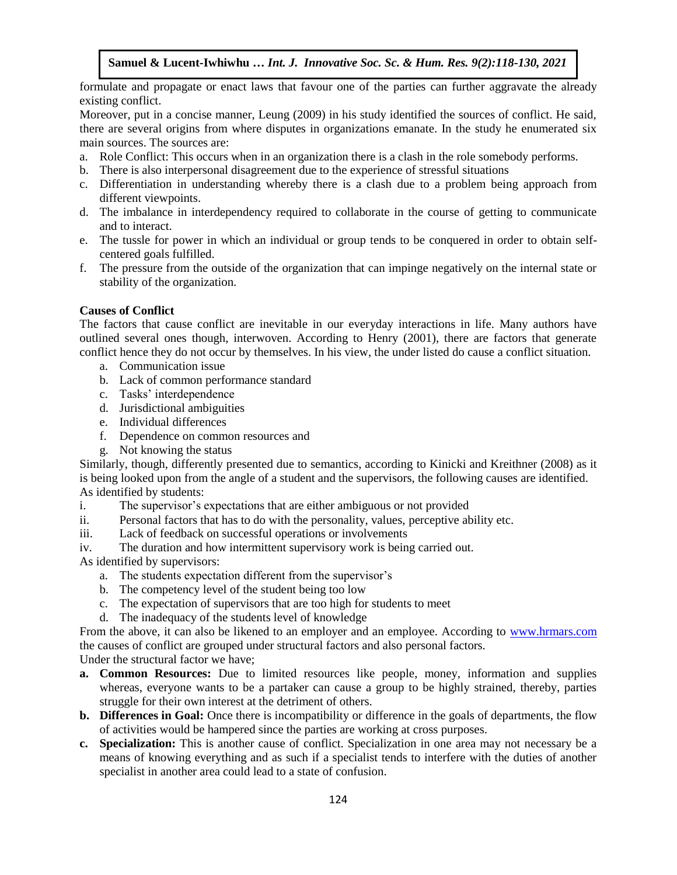formulate and propagate or enact laws that favour one of the parties can further aggravate the already existing conflict.  $\sum_{i=1}^{\infty}$  Comment intervalse Society Soc. Sec.  $\sum_{i=1}^{\infty}$ 

Moreover, put in a concise manner, Leung (2009) in his study identified the sources of conflict. He said, there are several origins from where disputes in organizations emanate. In the study he enumerated six main sources. The sources are:

- a. Role Conflict: This occurs when in an organization there is a clash in the role somebody performs.
- b. There is also interpersonal disagreement due to the experience of stressful situations
- c. Differentiation in understanding whereby there is a clash due to a problem being approach from different viewpoints.
- d. The imbalance in interdependency required to collaborate in the course of getting to communicate and to interact.
- e. The tussle for power in which an individual or group tends to be conquered in order to obtain selfcentered goals fulfilled.
- f. The pressure from the outside of the organization that can impinge negatively on the internal state or stability of the organization.

#### **Causes of Conflict**

The factors that cause conflict are inevitable in our everyday interactions in life. Many authors have Interactions that cause conflict are inevitable in our everyday interactions in the. Many additions have outlined several ones though, interwoven. According to Henry (2001), there are factors that generate conflict hence they do not occur by themselves. In his view, the under listed do cause a conflict situation.

- a. Communication issue
- b. Lack of common performance standard
- c. Tasks' interdependence
- d. Jurisdictional ambiguities
- e. Individual differences
- f. Dependence on common resources and
- extended the common resources and<br>g. Not knowing the status

Similarly, though, differently presented due to semantics, according to Kinicki and Kreithner (2008) as it is being looked upon from the angle of a student and the supervisors, the following causes are identified. As identified by students:

i. The supervisor's expectations that are either ambiguous or not provided

- ii. Personal factors that has to do with the personality, values, perceptive ability etc.
- iii. Lack of feedback on successful operations or involvements
- iv. The duration and how intermittent supervisory work is being carried out.

As identified by supervisors:

- a. The students expectation different from the supervisor's
- b. The competency level of the student being too low
- c. The expectation of supervisors that are too high for students to meet
- d. The inadequacy of the students level of knowledge

From the above, it can also be likened to an employer and an employee. According to [www.hrmars.com](http://www.hrmars.com/) the causes of conflict are grouped under structural factors and also personal factors.

Under the structural factor we have;

- **a. Common Resources:** Due to limited resources like people, money, information and supplies whereas, everyone wants to be a partaker can cause a group to be highly strained, thereby, parties struggle for their own interest at the detriment of others.
- **b. Differences in Goal:** Once there is incompatibility or difference in the goals of departments, the flow of activities would be hampered since the parties are working at cross purposes.
- **c. Specialization:** This is another cause of conflict. Specialization in one area may not necessary be a means of knowing everything and as such if a specialist tends to interfere with the duties of another specialist in another area could lead to a state of confusion.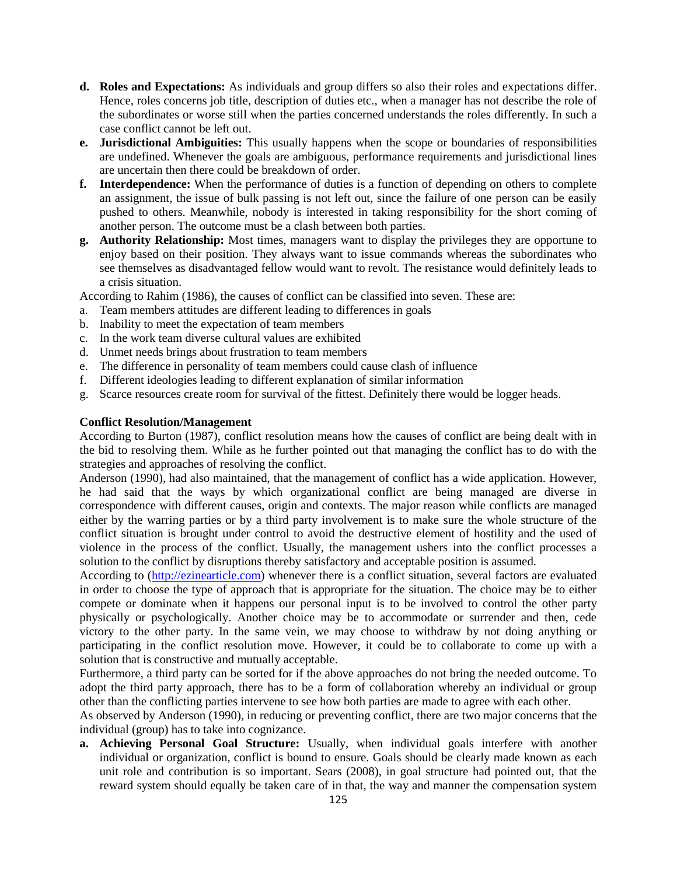- **d. Roles and Expectations:** As individuals and group differs so also their roles and expectations differ. Hence, roles concerns job title, description of duties etc., when a manager has not describe the role of the subordinates or worse still when the parties concerned understands the roles differently. In such a case conflict cannot be left out.
- **e. Jurisdictional Ambiguities:** This usually happens when the scope or boundaries of responsibilities are undefined. Whenever the goals are ambiguous, performance requirements and jurisdictional lines are uncertain then there could be breakdown of order.
- **f. Interdependence:** When the performance of duties is a function of depending on others to complete an assignment, the issue of bulk passing is not left out, since the failure of one person can be easily pushed to others. Meanwhile, nobody is interested in taking responsibility for the short coming of another person. The outcome must be a clash between both parties.
- **g. Authority Relationship:** Most times, managers want to display the privileges they are opportune to enjoy based on their position. They always want to issue commands whereas the subordinates who see themselves as disadvantaged fellow would want to revolt. The resistance would definitely leads to a crisis situation.

According to Rahim (1986), the causes of conflict can be classified into seven. These are:

- a. Team members attitudes are different leading to differences in goals
- b. Inability to meet the expectation of team members
- c. In the work team diverse cultural values are exhibited
- d. Unmet needs brings about frustration to team members
- e. The difference in personality of team members could cause clash of influence
- f. Different ideologies leading to different explanation of similar information
- g. Scarce resources create room for survival of the fittest. Definitely there would be logger heads.

#### **Conflict Resolution/Management**

According to Burton (1987), conflict resolution means how the causes of conflict are being dealt with in the bid to resolving them. While as he further pointed out that managing the conflict has to do with the strategies and approaches of resolving the conflict.

Anderson (1990), had also maintained, that the management of conflict has a wide application. However, he had said that the ways by which organizational conflict are being managed are diverse in correspondence with different causes, origin and contexts. The major reason while conflicts are managed either by the warring parties or by a third party involvement is to make sure the whole structure of the conflict situation is brought under control to avoid the destructive element of hostility and the used of violence in the process of the conflict. Usually, the management ushers into the conflict processes a solution to the conflict by disruptions thereby satisfactory and acceptable position is assumed.

According to [\(http://ezinearticle.com\)](http://ezinearticle.com/) whenever there is a conflict situation, several factors are evaluated in order to choose the type of approach that is appropriate for the situation. The choice may be to either compete or dominate when it happens our personal input is to be involved to control the other party physically or psychologically. Another choice may be to accommodate or surrender and then, cede victory to the other party. In the same vein, we may choose to withdraw by not doing anything or participating in the conflict resolution move. However, it could be to collaborate to come up with a solution that is constructive and mutually acceptable.

Furthermore, a third party can be sorted for if the above approaches do not bring the needed outcome. To adopt the third party approach, there has to be a form of collaboration whereby an individual or group other than the conflicting parties intervene to see how both parties are made to agree with each other.

As observed by Anderson (1990), in reducing or preventing conflict, there are two major concerns that the individual (group) has to take into cognizance.

**a. Achieving Personal Goal Structure:** Usually, when individual goals interfere with another individual or organization, conflict is bound to ensure. Goals should be clearly made known as each unit role and contribution is so important. Sears (2008), in goal structure had pointed out, that the reward system should equally be taken care of in that, the way and manner the compensation system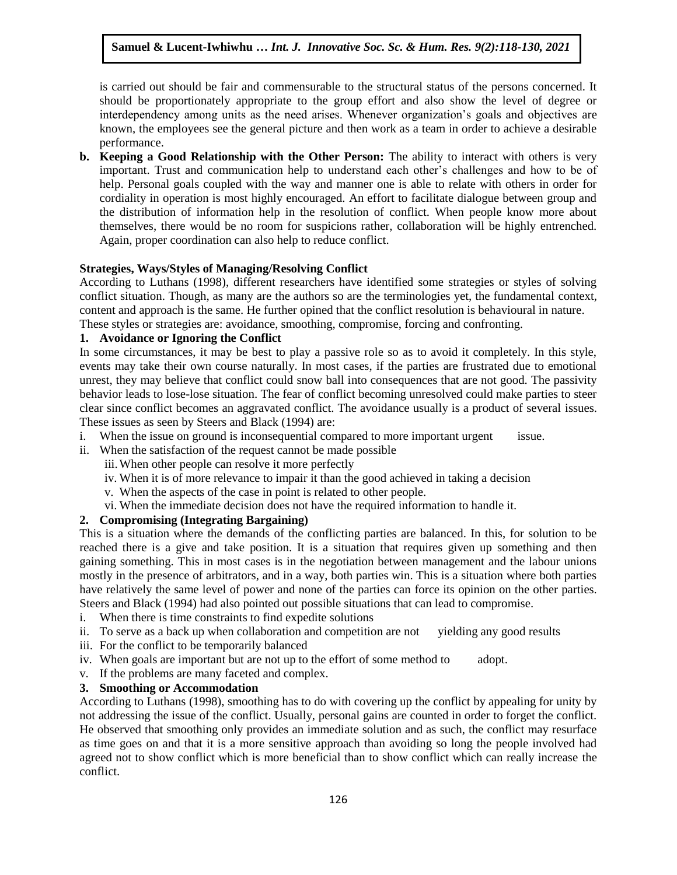is carried out should be fair and commensurable to the structural status of the persons concerned. It should be proportionately appropriate to the group effort and also show the level of degree or interdependency among units as the need arises. Whenever organization's goals and objectives are known, the employees see the general picture and then work as a team in order to achieve a desirable performance. Arugu & Wosu …… Int. J. Innovative Soc. Sc. & Hum. Res. 8(1):1-11, 2020

**b. Keeping a Good Relationship with the Other Person:** The ability to interact with others is very important. Trust and communication help to understand each other's challenges and how to be of help. Personal goals coupled with the way and manner one is able to relate with others in order for cordiality in operation is most highly encouraged. An effort to facilitate dialogue between group and the distribution of information help in the resolution of conflict. When people know more about themselves, there would be no room for suspicions rather, collaboration will be highly entrenched. Again, proper coordination can also help to reduce conflict.

#### **Strategies, Ways/Styles of Managing/Resolving Conflict** Arugu & Wosu …… Int. J. Innovative Soc. Sc. & Hum. Res. 8(1):1-11, 2020

According to Luthans (1998), different researchers have identified some strategies or styles of solving conflict situation. Though, as many are the authors so are the terminologies yet, the fundamental context, content and approach is the same. He further opined that the conflict resolution is behavioural in nature. These styles or strategies are: avoidance, smoothing, compromise, forcing and confronting.

# **1. Avoidance or Ignoring the Conflict**

In some circumstances, it may be best to play a passive role so as to avoid it completely. In this style, events may take their own course naturally. In most cases, if the parties are frustrated due to emotional unrest, they may believe that conflict could snow ball into consequences that are not good. The passivity behavior leads to lose-lose situation. The fear of conflict becoming unresolved could make parties to steer clear since conflict becomes an aggravated conflict. The avoidance usually is a product of several issues. These issues as seen by Steers and Black (1994) are:

- These issues as seen by Steers and Black (1994) are:<br>i. When the issue on ground is inconsequential compared to more important urgent issue.
- ii. When the satisfaction of the request cannot be made possible
	- iii.When other people can resolve it more perfectly
	- iv. When it is of more relevance to impair it than the good achieved in taking a decision
	- v. When the aspects of the case in point is related to other people.
	- vi. When the immediate decision does not have the required information to handle it.

# **2. Compromising (Integrating Bargaining)**

This is a situation where the demands of the conflicting parties are balanced. In this, for solution to be reached there is a give and take position. It is a situation that requires given up something and then gaining something. This in most cases is in the negotiation between management and the labour unions mostly in the presence of arbitrators, and in a way, both parties win. This is a situation where both parties have relatively the same level of power and none of the parties can force its opinion on the other parties. Steers and Black (1994) had also pointed out possible situations that can lead to compromise.

- i. When there is time constraints to find expedite solutions
- ii. To serve as a back up when collaboration and competition are not yielding any good results
- iii. For the conflict to be temporarily balanced
- iv. When goals are important but are not up to the effort of some method to adopt.
- v. If the problems are many faceted and complex.

# **3. Smoothing or Accommodation**

According to Luthans (1998), smoothing has to do with covering up the conflict by appealing for unity by not addressing the issue of the conflict. Usually, personal gains are counted in order to forget the conflict. He observed that smoothing only provides an immediate solution and as such, the conflict may resurface as time goes on and that it is a more sensitive approach than avoiding so long the people involved had agreed not to show conflict which is more beneficial than to show conflict which can really increase the conflict.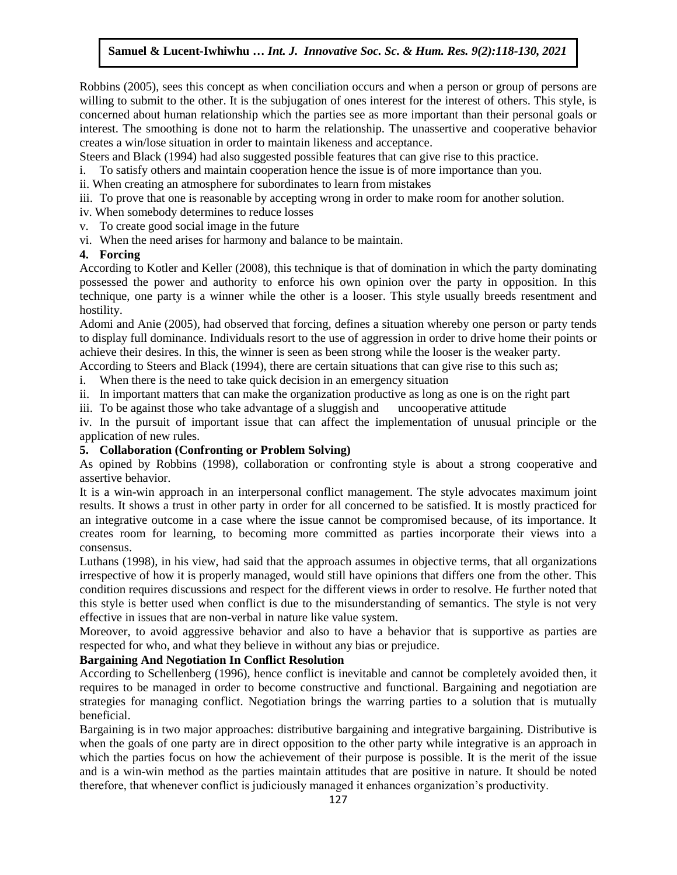Robbins (2005), sees this concept as when conciliation occurs and when a person or group of persons are willing to submit to the other. It is the subjugation of ones interest for the interest of others. This style, is willing to submit to the other. It is the subjugation of ones interest for the interest of others. This styl concerned about human relationship which the parties see as more important than their personal goals or interest. The smoothing is done not to harm the relationship. The unassertive and cooperative behavior creates a win/lose situation in order to maintain likeness and acceptance.

Ereates a whirtiese studinon in other to manually increases and acceptance.<br>Steers and Black (1994) had also suggested possible features that can give rise to this practice.

- i. To satisfy others and maintain cooperation hence the issue is of more importance than you.
- ii. When creating an atmosphere for subordinates to learn from mistakes
- iii. To prove that one is reasonable by accepting wrong in order to make room for another solution.
- iv. When somebody determines to reduce losses
- v. To create good social image in the future
- vi. When the need arises for harmony and balance to be maintain.

#### **4. Forcing**

... It steads<br>According to Kotler and Keller (2008), this technique is that of domination in which the party dominating possessed the power and authority to enforce his own opinion over the party in opposition. In this technique, one party is a winner while the other is a looser. This style usually breeds resentment and hostility.

Adomi and Anie (2005), had observed that forcing, defines a situation whereby one person or party tends to display full dominance. Individuals resort to the use of aggression in order to drive home their points or achieve their desires. In this, the winner is seen as been strong while the looser is the weaker party.

According to Steers and Black (1994), there are certain situations that can give rise to this such as;

i. When there is the need to take quick decision in an emergency situation

ii. In important matters that can make the organization productive as long as one is on the right part

iii. To be against those who take advantage of a sluggish and uncooperative attitude

iv. In the pursuit of important issue that can affect the implementation of unusual principle or the application of new rules.

#### **5. Collaboration (Confronting or Problem Solving)**

As opined by Robbins (1998), collaboration or confronting style is about a strong cooperative and assertive behavior.

It is a win-win approach in an interpersonal conflict management. The style advocates maximum joint results. It shows a trust in other party in order for all concerned to be satisfied. It is mostly practiced for an integrative outcome in a case where the issue cannot be compromised because, of its importance. It creates room for learning, to becoming more committed as parties incorporate their views into a consensus.

Luthans (1998), in his view, had said that the approach assumes in objective terms, that all organizations irrespective of how it is properly managed, would still have opinions that differs one from the other. This condition requires discussions and respect for the different views in order to resolve. He further noted that this style is better used when conflict is due to the misunderstanding of semantics. The style is not very effective in issues that are non-verbal in nature like value system.

Moreover, to avoid aggressive behavior and also to have a behavior that is supportive as parties are respected for who, and what they believe in without any bias or prejudice.

#### **Bargaining And Negotiation In Conflict Resolution**

According to Schellenberg (1996), hence conflict is inevitable and cannot be completely avoided then, it requires to be managed in order to become constructive and functional. Bargaining and negotiation are strategies for managing conflict. Negotiation brings the warring parties to a solution that is mutually beneficial.

Bargaining is in two major approaches: distributive bargaining and integrative bargaining. Distributive is when the goals of one party are in direct opposition to the other party while integrative is an approach in which the parties focus on how the achievement of their purpose is possible. It is the merit of the issue and is a win-win method as the parties maintain attitudes that are positive in nature. It should be noted therefore, that whenever conflict is judiciously managed it enhances organization's productivity.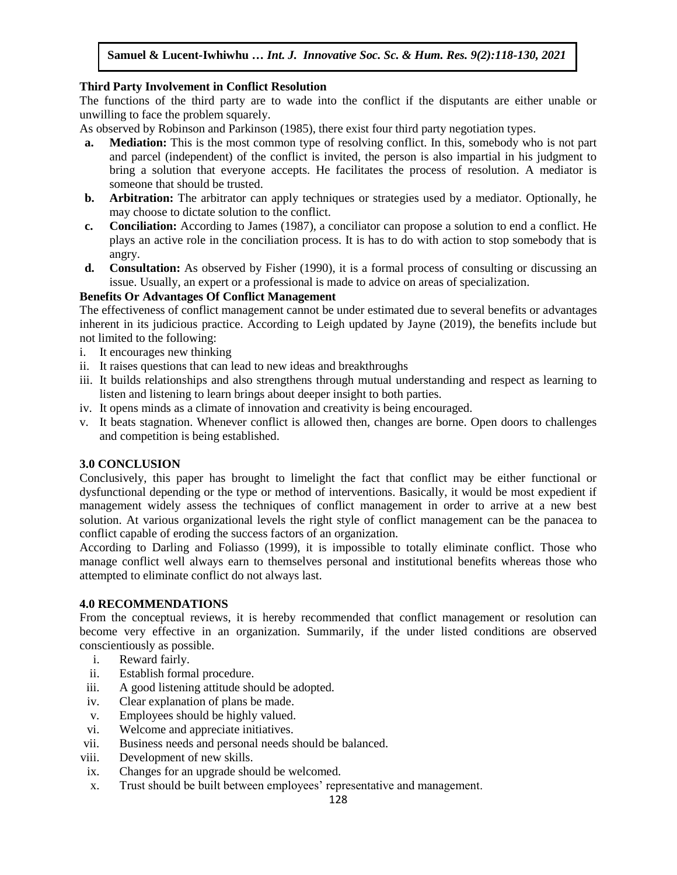#### **Third Party Involvement in Conflict Resolution**

The functions of the third party are to wade into the conflict if the disputants are either unable or unwilling to face the problem squarely.

As observed by Robinson and Parkinson (1985), there exist four third party negotiation types.

- **a. Mediation:** This is the most common type of resolving conflict. In this, somebody who is not part and parcel (independent) of the conflict is invited, the person is also impartial in his judgment to bring a solution that everyone accepts. He facilitates the process of resolution. A mediator is someone that should be trusted.
- **b. Arbitration:** The arbitrator can apply techniques or strategies used by a mediator. Optionally, he may choose to dictate solution to the conflict.
- **c. Conciliation:** According to James (1987), a conciliator can propose a solution to end a conflict. He plays an active role in the conciliation process. It is has to do with action to stop somebody that is angry.
- **d.** Consultation: As observed by Fisher (1990), it is a formal process of consulting or discussing an issue. Usually, an expert or a professional is made to advice on areas of specialization.

#### **Benefits Or Advantages Of Conflict Management**

The effectiveness of conflict management cannot be under estimated due to several benefits or advantages inherent in its judicious practice. According to Leigh updated by Jayne (2019), the benefits include but not limited to the following:

- i. It encourages new thinking
- ii. It raises questions that can lead to new ideas and breakthroughs
- iii. It builds relationships and also strengthens through mutual understanding and respect as learning to listen and listening to learn brings about deeper insight to both parties.
- iv. It opens minds as a climate of innovation and creativity is being encouraged.
- v. It beats stagnation. Whenever conflict is allowed then, changes are borne. Open doors to challenges and competition is being established.

#### **3.0 CONCLUSION**

Conclusively, this paper has brought to limelight the fact that conflict may be either functional or dysfunctional depending or the type or method of interventions. Basically, it would be most expedient if management widely assess the techniques of conflict management in order to arrive at a new best solution. At various organizational levels the right style of conflict management can be the panacea to conflict capable of eroding the success factors of an organization.

According to Darling and Foliasso (1999), it is impossible to totally eliminate conflict. Those who manage conflict well always earn to themselves personal and institutional benefits whereas those who attempted to eliminate conflict do not always last.

#### **4.0 RECOMMENDATIONS**

From the conceptual reviews, it is hereby recommended that conflict management or resolution can become very effective in an organization. Summarily, if the under listed conditions are observed conscientiously as possible.

- i. Reward fairly.
- ii. Establish formal procedure.
- iii. A good listening attitude should be adopted.
- iv. Clear explanation of plans be made.
- v. Employees should be highly valued.
- vi. Welcome and appreciate initiatives.
- vii. Business needs and personal needs should be balanced.
- viii. Development of new skills.
- ix. Changes for an upgrade should be welcomed.
- x. Trust should be built between employees' representative and management.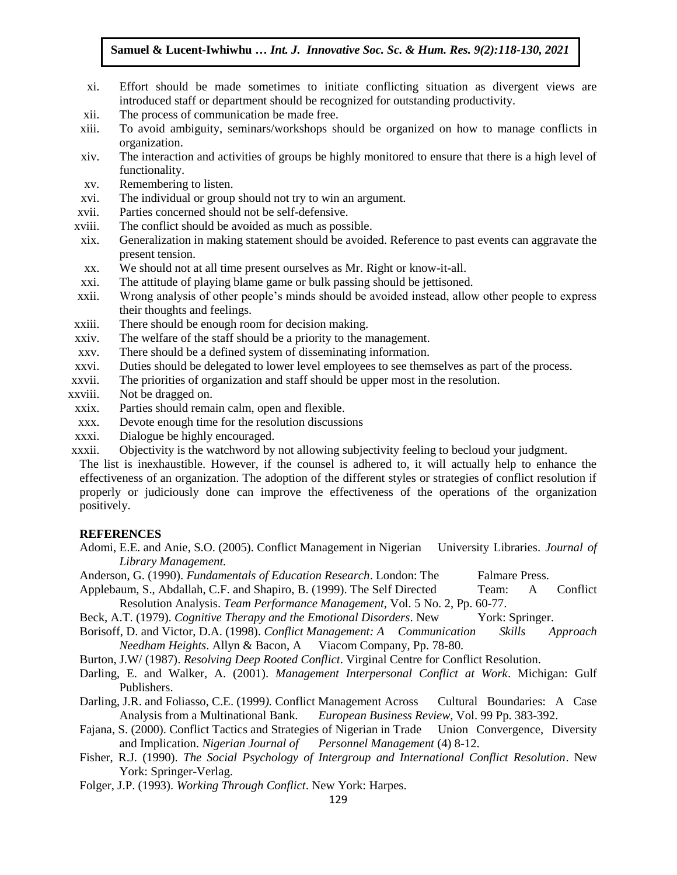- xi. Effort should be made sometimes to initiate conflicting situation as divergent views are Errort should be made sometimes to mittate commeting situation as divertint introduced staff or department should be recognized for outstanding productivity.
- xii. The process of communication be made free.
- xiii. To avoid ambiguity, seminars/workshops should be organized on how to manage conflicts in organization.
- or substantiants.<br>xiv. The interaction and activities of groups be highly monitored to ensure that there is a high level of functionality.
- xv. Remembering to listen.
- xvi. The individual or group should not try to win an argument.
- AVI. The marvidual of group should not dy to will all argument.<br>Xvii. Parties concerned should not be self-defensive.
- xviii. The conflict should be avoided as much as possible.
- xix. Generalization in making statement should be avoided. Reference to past events can aggravate the present tension.
- present tension.<br>xx. We should not at all time present ourselves as Mr. Right or know-it-all.
- xxi. The attitude of playing blame game or bulk passing should be jettisoned.
- xxii. Wrong analysis of other people's minds should be avoided instead, allow other people to express their thoughts and feelings.
- xiii. There should be enough room for decision making.
- xxiv. The welfare of the staff should be a priority to the management.
- xxv. There should be a defined system of disseminating information.
- xxvi. Duties should be delegated to lower level employees to see themselves as part of the process.
- ARUGU SHOULD SHOULD CONSIDERED TO NOT TO VER EMPLOYEES TO SEE THEMSELVES AS PARTY.<br>XXVII. The priorities of organization and staff should be upper most in the resolution.
- xxviii. Not be dragged on.
	- xxix. Parties should remain calm, open and flexible.
	- xxx. Devote enough time for the resolution discussions
- Arugua Bevole enough time for the resonation diseassions.<br>
Arcanic Dialogue be highly encouraged.
- xxxii. Objectivity is the watchword by not allowing subjectivity feeling to becloud your judgment.

The list is inexhaustible. However, if the counsel is adhered to, it will actually help to enhance the effectiveness of an organization. The adoption of the different styles or strategies of conflict resolution if properly or judiciously done can improve the effectiveness of the operations of the organization positively.

#### **REFERENCES**

- Adomi, E.E. and Anie, S.O. (2005). Conflict Management in Nigerian University Libraries. *Journal of Library Management.*
- Anderson, G. (1990). *Fundamentals of Education Research*. London: The Falmare Press.
- Applebaum, S., Abdallah, C.F. and Shapiro, B. (1999). The Self Directed Team: A Conflict Resolution Analysis. *Team Performance Management,* Vol. 5 No. 2, Pp. 60-77.
- Beck, A.T. (1979). *Cognitive Therapy and the Emotional Disorders*. New York: Springer.
- Borisoff, D. and Victor, D.A. (1998). *Conflict Management: A Communication Skills Approach Needham Heights*. Allyn & Bacon, A Viacom Company, Pp. 78-80.

Burton, J.W/ (1987). *Resolving Deep Rooted Conflict*. Virginal Centre for Conflict Resolution.

- Darling, E. and Walker, A. (2001). *Management Interpersonal Conflict at Work*. Michigan: Gulf Publishers.
- Darling, J.R. and Foliasso, C.E. (1999*).* Conflict Management Across Cultural Boundaries: A Case Analysis from a Multinational Bank*. European Business Review*, Vol. 99 Pp. 383-392.
- Fajana, S. (2000). Conflict Tactics and Strategies of Nigerian in Trade Union Convergence, Diversity and Implication. *Nigerian Journal of Personnel Management* (4) 8-12.
- Fisher, R.J. (1990). *The Social Psychology of Intergroup and International Conflict Resolution*. New York: Springer-Verlag.
- Folger, J.P. (1993). *Working Through Conflict*. New York: Harpes.